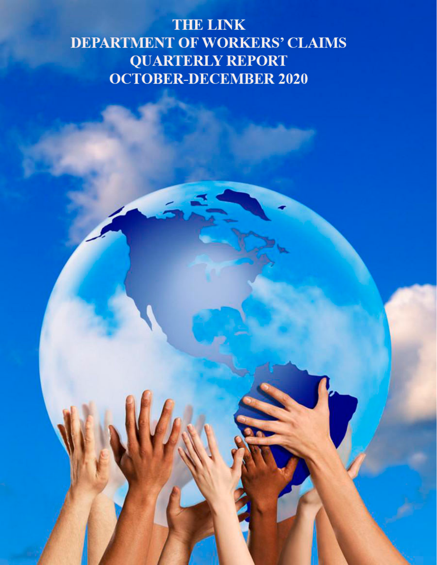# **THE LINK DEPARTMENT OF WORKERS' CLAIMS QUARTERLY REPORT OCTOBER-DECEMBER 2020**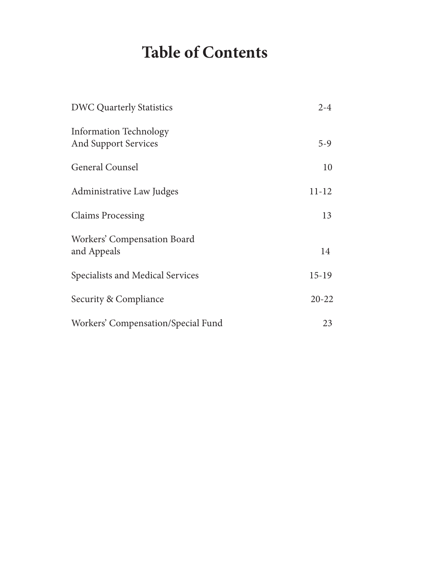# **Table of Contents**

| <b>DWC Quarterly Statistics</b>                              | $2 - 4$   |
|--------------------------------------------------------------|-----------|
| <b>Information Technology</b><br><b>And Support Services</b> | $5-9$     |
| <b>General Counsel</b>                                       | 10        |
| Administrative Law Judges                                    | $11 - 12$ |
| <b>Claims Processing</b>                                     | 13        |
| Workers' Compensation Board<br>and Appeals                   | 14        |
| Specialists and Medical Services                             | $15-19$   |
| Security & Compliance                                        | $20 - 22$ |
| Workers' Compensation/Special Fund                           | 23        |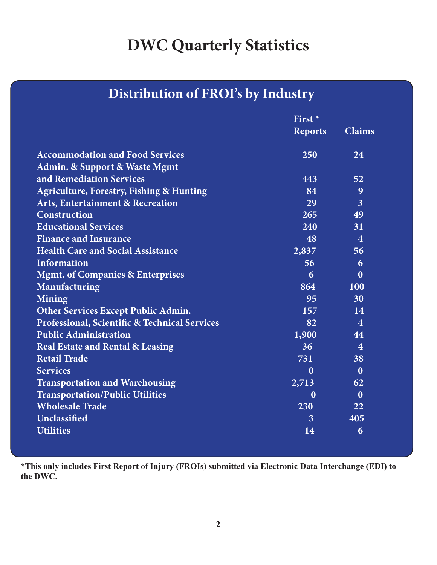# **DWC Quarterly Statistics**

# **Distribution of FROI's by Industry**

|                                                     | First <sup>*</sup> |                |
|-----------------------------------------------------|--------------------|----------------|
|                                                     | <b>Reports</b>     | <b>Claims</b>  |
| <b>Accommodation and Food Services</b>              | 250                | 24             |
| <b>Admin. &amp; Support &amp; Waste Mgmt</b>        |                    |                |
| and Remediation Services                            | 443                | 52             |
| <b>Agriculture, Forestry, Fishing &amp; Hunting</b> | 84                 | 9              |
| <b>Arts, Entertainment &amp; Recreation</b>         | 29                 | $\overline{3}$ |
| <b>Construction</b>                                 | 265                | 49             |
| <b>Educational Services</b>                         | 240                | 31             |
| <b>Finance and Insurance</b>                        | 48                 | $\overline{4}$ |
| <b>Health Care and Social Assistance</b>            | 2,837              | 56             |
| <b>Information</b>                                  | 56                 | 6              |
| <b>Mgmt. of Companies &amp; Enterprises</b>         | 6                  | $\mathbf{0}$   |
| <b>Manufacturing</b>                                | 864                | <b>100</b>     |
| Mining                                              | 95                 | 30             |
| <b>Other Services Except Public Admin.</b>          | 157                | 14             |
| Professional, Scientific & Technical Services       | 82                 | $\overline{4}$ |
| <b>Public Administration</b>                        | 1,900              | 44             |
| <b>Real Estate and Rental &amp; Leasing</b>         | 36 <sup>°</sup>    | $\overline{4}$ |
| <b>Retail Trade</b>                                 | 731                | 38             |
| <b>Services</b>                                     | $\bf{0}$           | $\bf{0}$       |
| <b>Transportation and Warehousing</b>               | 2,713              | 62             |
| <b>Transportation/Public Utilities</b>              | $\mathbf{0}$       | $\bf{0}$       |
| <b>Wholesale Trade</b>                              | 230                | 22             |
| Unclassified                                        | $\overline{3}$     | 405            |
| <b>Utilities</b>                                    | 14                 | 6              |

**\*This only includes First Report of Injury (FROIs) submitted via Electronic Data Interchange (EDI) to the DWC.**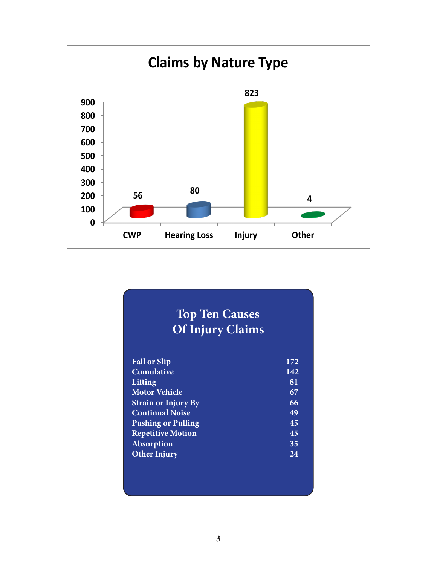

# **Top Ten Causes Of Injury Claims**

| <b>Fall or Slip</b>        | 172 |
|----------------------------|-----|
| <b>Cumulative</b>          | 142 |
| Lifting                    | 81  |
| <b>Motor Vehicle</b>       | 67  |
| <b>Strain or Injury By</b> | 66  |
| <b>Continual Noise</b>     | 49  |
| <b>Pushing or Pulling</b>  | 45  |
| <b>Repetitive Motion</b>   | 45  |
| Absorption                 | 35  |
| <b>Other Injury</b>        | 24  |
|                            |     |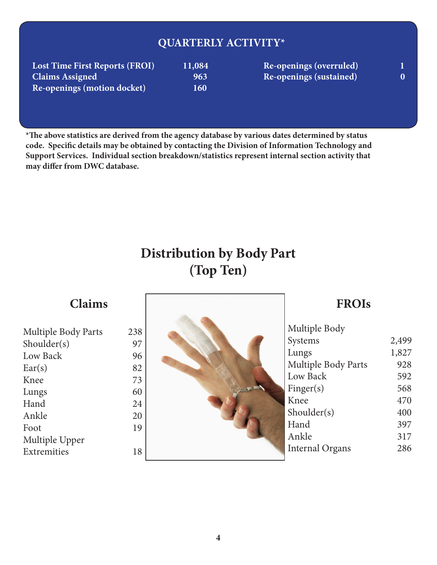# **QUARTERLY ACTIVITY\***

| <b>Lost Time First Reports (FROI)</b> | 11,084     |
|---------------------------------------|------------|
| <b>Claims Assigned</b>                | 963        |
| Re-openings (motion docket)           | <b>160</b> |

**Lost Time First Re-openings (overruled)** 1 **Claims Assigned 963 Re-openings (sustained) 0** 

**\*The above statistics are derived from the agency database by various dates determined by status code. Specific details may be obtained by contacting the Division of Information Technology and Support Services. Individual section breakdown/statistics represent internal section activity that may differ from DWC database.**

# **Distribution by Body Part (Top Ten)**

# **Claims**

| <b>Multiple Body Parts</b> | 238 |
|----------------------------|-----|
| Shoulder(s)                | 97  |
| Low Back                   | 96  |
| Ear(s)                     | 82  |
| Knee                       | 73  |
| Lungs                      | 60  |
| Hand                       | 24  |
| Ankle                      | 20  |
| Foot                       | 19  |
| Multiple Upper             |     |
| Extremities                |     |
|                            |     |



# **FROIs**

| Multiple Body          |       |
|------------------------|-------|
| Systems                | 2,499 |
| Lungs                  | 1,827 |
| Multiple Body Parts    | 928   |
| Low Back               | 592   |
| Finger(s)              | 568   |
| Knee                   | 470   |
| Shoulder(s)            | 400   |
| Hand                   | 397   |
| Ankle                  | 317   |
| <b>Internal Organs</b> | 286   |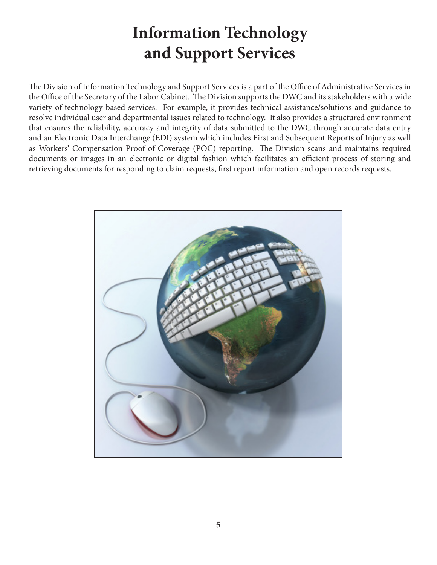# **Information Technology and Support Services**

The Division of Information Technology and Support Services is a part of the Office of Administrative Services in the Office of the Secretary of the Labor Cabinet. The Division supports the DWC and its stakeholders with a wide variety of technology-based services. For example, it provides technical assistance/solutions and guidance to resolve individual user and departmental issues related to technology. It also provides a structured environment that ensures the reliability, accuracy and integrity of data submitted to the DWC through accurate data entry and an Electronic Data Interchange (EDI) system which includes First and Subsequent Reports of Injury as well as Workers' Compensation Proof of Coverage (POC) reporting. The Division scans and maintains required documents or images in an electronic or digital fashion which facilitates an efficient process of storing and retrieving documents for responding to claim requests, first report information and open records requests.

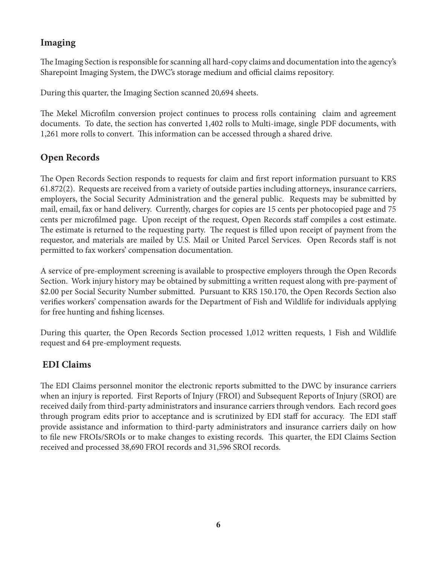## **Imaging**

The Imaging Section is responsible for scanning all hard-copy claims and documentation into the agency's Sharepoint Imaging System, the DWC's storage medium and official claims repository.

During this quarter, the Imaging Section scanned 20,694 sheets.

The Mekel Microfilm conversion project continues to process rolls containing claim and agreement documents. To date, the section has converted 1,402 rolls to Multi-image, single PDF documents, with 1,261 more rolls to convert. This information can be accessed through a shared drive.

## **Open Records**

The Open Records Section responds to requests for claim and first report information pursuant to KRS 61.872(2). Requests are received from a variety of outside parties including attorneys, insurance carriers, employers, the Social Security Administration and the general public. Requests may be submitted by mail, email, fax or hand delivery. Currently, charges for copies are 15 cents per photocopied page and 75 cents per microfilmed page. Upon receipt of the request, Open Records staff compiles a cost estimate. The estimate is returned to the requesting party. The request is filled upon receipt of payment from the requestor, and materials are mailed by U.S. Mail or United Parcel Services. Open Records staff is not permitted to fax workers' compensation documentation.

A service of pre-employment screening is available to prospective employers through the Open Records Section. Work injury history may be obtained by submitting a written request along with pre-payment of \$2.00 per Social Security Number submitted. Pursuant to KRS 150.170, the Open Records Section also verifies workers' compensation awards for the Department of Fish and Wildlife for individuals applying for free hunting and fishing licenses.

During this quarter, the Open Records Section processed 1,012 written requests, 1 Fish and Wildlife request and 64 pre-employment requests.

## **EDI Claims**

The EDI Claims personnel monitor the electronic reports submitted to the DWC by insurance carriers when an injury is reported. First Reports of Injury (FROI) and Subsequent Reports of Injury (SROI) are received daily from third-party administrators and insurance carriers through vendors. Each record goes through program edits prior to acceptance and is scrutinized by EDI staff for accuracy. The EDI staff provide assistance and information to third-party administrators and insurance carriers daily on how to file new FROIs/SROIs or to make changes to existing records. This quarter, the EDI Claims Section received and processed 38,690 FROI records and 31,596 SROI records.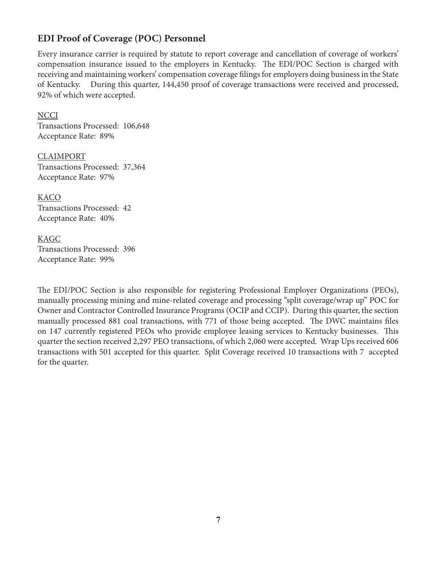## **EDI Proof of Coverage (POC) Personnel**

Every insurance carrier is required by statute to report coverage and cancellation of coverage of workers' compensation insurance issued to the employers in Kentucky. The EDI/POC Section is charged with receiving and maintaining workers' compensation coverage filings for employers doing business in the State of Kentucky. During this quarter, 144,450 proof of coverage transactions were received and processed, 92% of which were accepted.

**NCCI** Transactions Processed: 106,648 Acceptance Rate: 89%

CLAIMPORT Transactions Processed: 37,364 Acceptance Rate: 97%

KACO Transactions Processed: 42 Acceptance Rate: 40%

#### KAGC

Transactions Processed: 396 Acceptance Rate: 99%

The EDI/POC Section is also responsible for registering Professional Employer Organizations (PEOs), manually processing mining and mine-related coverage and processing "split coverage/wrap up" POC for Owner and Contractor Controlled Insurance Programs (OCIP and CCIP). During this quarter, the section manually processed 881 coal transactions, with 771 of those being accepted. The DWC maintains files on 147 currently registered PEOs who provide employee leasing services to Kentucky businesses. This quarter the section received 2,297 PEO transactions, of which 2,060 were accepted. Wrap Ups received 606 transactions with 501 accepted for this quarter. Split Coverage received 10 transactions with 7 accepted for the quarter.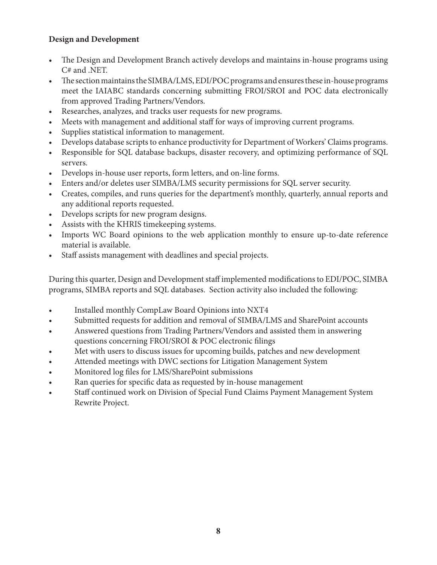### **Design and Development**

- The Design and Development Branch actively develops and maintains in-house programs using C# and .NET.
- The section maintains the SIMBA/LMS, EDI/POC programs and ensures these in-house programs meet the IAIABC standards concerning submitting FROI/SROI and POC data electronically from approved Trading Partners/Vendors.
- Researches, analyzes, and tracks user requests for new programs.
- Meets with management and additional staff for ways of improving current programs.
- Supplies statistical information to management.
- Develops database scripts to enhance productivity for Department of Workers' Claims programs.
- Responsible for SQL database backups, disaster recovery, and optimizing performance of SQL servers.
- Develops in-house user reports, form letters, and on-line forms.
- Enters and/or deletes user SIMBA/LMS security permissions for SQL server security.
- Creates, compiles, and runs queries for the department's monthly, quarterly, annual reports and any additional reports requested.
- Develops scripts for new program designs.
- Assists with the KHRIS timekeeping systems.
- Imports WC Board opinions to the web application monthly to ensure up-to-date reference material is available.
- Staff assists management with deadlines and special projects.

During this quarter, Design and Development staff implemented modifications to EDI/POC, SIMBA programs, SIMBA reports and SQL databases. Section activity also included the following:

- Installed monthly CompLaw Board Opinions into NXT4
- Submitted requests for addition and removal of SIMBA/LMS and SharePoint accounts
- Answered questions from Trading Partners/Vendors and assisted them in answering questions concerning FROI/SROI & POC electronic filings
- Met with users to discuss issues for upcoming builds, patches and new development
- Attended meetings with DWC sections for Litigation Management System
- Monitored log files for LMS/SharePoint submissions
- Ran queries for specific data as requested by in-house management
- Staff continued work on Division of Special Fund Claims Payment Management System Rewrite Project.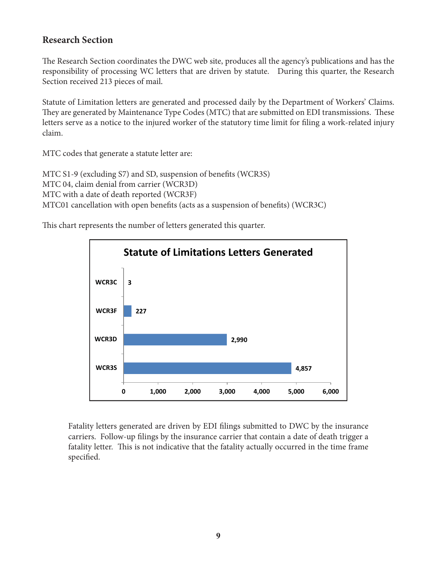### **Research Section**

The Research Section coordinates the DWC web site, produces all the agency's publications and has the responsibility of processing WC letters that are driven by statute. During this quarter, the Research Section received 213 pieces of mail.

Statute of Limitation letters are generated and processed daily by the Department of Workers' Claims. They are generated by Maintenance Type Codes (MTC) that are submitted on EDI transmissions. These letters serve as a notice to the injured worker of the statutory time limit for filing a work-related injury claim.

MTC codes that generate a statute letter are:

MTC S1-9 (excluding S7) and SD, suspension of benefits (WCR3S) MTC 04, claim denial from carrier (WCR3D) MTC with a date of death reported (WCR3F) MTC01 cancellation with open benefits (acts as a suspension of benefits) (WCR3C)

This chart represents the number of letters generated this quarter.



Fatality letters generated are driven by EDI filings submitted to DWC by the insurance carriers. Follow-up filings by the insurance carrier that contain a date of death trigger a fatality letter. This is not indicative that the fatality actually occurred in the time frame specified.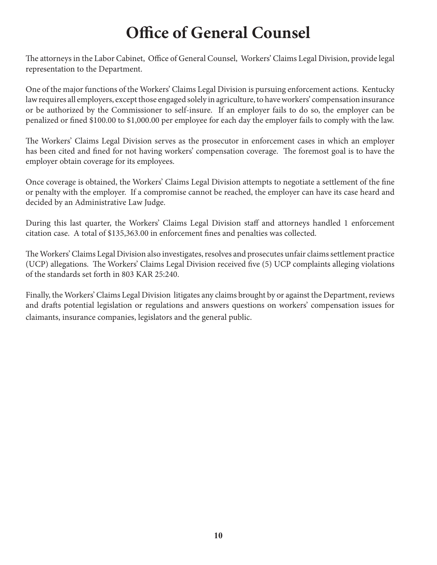# **Office of General Counsel**

The attorneys in the Labor Cabinet, Office of General Counsel, Workers' Claims Legal Division, provide legal representation to the Department.

One of the major functions of the Workers' Claims Legal Division is pursuing enforcement actions. Kentucky law requires all employers, except those engaged solely in agriculture, to have workers' compensation insurance or be authorized by the Commissioner to self-insure. If an employer fails to do so, the employer can be penalized or fined \$100.00 to \$1,000.00 per employee for each day the employer fails to comply with the law.

The Workers' Claims Legal Division serves as the prosecutor in enforcement cases in which an employer has been cited and fined for not having workers' compensation coverage. The foremost goal is to have the employer obtain coverage for its employees.

Once coverage is obtained, the Workers' Claims Legal Division attempts to negotiate a settlement of the fine or penalty with the employer. If a compromise cannot be reached, the employer can have its case heard and decided by an Administrative Law Judge.

During this last quarter, the Workers' Claims Legal Division staff and attorneys handled 1 enforcement citation case. A total of \$135,363.00 in enforcement fines and penalties was collected.

The Workers' Claims Legal Division also investigates, resolves and prosecutes unfair claims settlement practice (UCP) allegations. The Workers' Claims Legal Division received five (5) UCP complaints alleging violations of the standards set forth in 803 KAR 25:240.

Finally, the Workers' Claims Legal Division litigates any claims brought by or against the Department, reviews and drafts potential legislation or regulations and answers questions on workers' compensation issues for claimants, insurance companies, legislators and the general public.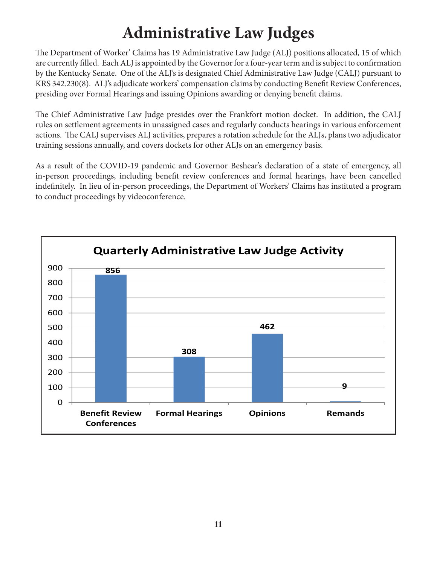# **Administrative Law Judges**

The Department of Worker' Claims has 19 Administrative Law Judge (ALJ) positions allocated, 15 of which are currently filled. Each ALJ is appointed by the Governor for a four-year term and is subject to confirmation by the Kentucky Senate. One of the ALJ's is designated Chief Administrative Law Judge (CALJ) pursuant to KRS 342.230(8). ALJ's adjudicate workers' compensation claims by conducting Benefit Review Conferences, presiding over Formal Hearings and issuing Opinions awarding or denying benefit claims.

The Chief Administrative Law Judge presides over the Frankfort motion docket. In addition, the CALJ rules on settlement agreements in unassigned cases and regularly conducts hearings in various enforcement actions. The CALJ supervises ALJ activities, prepares a rotation schedule for the ALJs, plans two adjudicator training sessions annually, and covers dockets for other ALJs on an emergency basis.

As a result of the COVID-19 pandemic and Governor Beshear's declaration of a state of emergency, all in-person proceedings, including benefit review conferences and formal hearings, have been cancelled indefinitely. In lieu of in-person proceedings, the Department of Workers' Claims has instituted a program to conduct proceedings by videoconference.

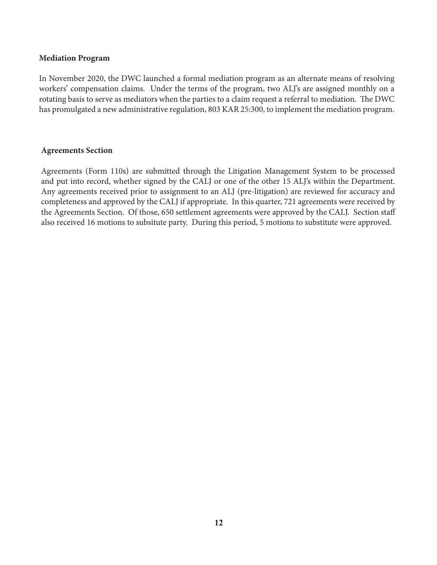#### **Mediation Program**

In November 2020, the DWC launched a formal mediation program as an alternate means of resolving workers' compensation claims. Under the terms of the program, two ALJ's are assigned monthly on a rotating basis to serve as mediators when the parties to a claim request a referral to mediation. The DWC has promulgated a new administrative regulation, 803 KAR 25:300, to implement the mediation program.

#### **Agreements Section**

Agreements (Form 110s) are submitted through the Litigation Management System to be processed and put into record, whether signed by the CALJ or one of the other 15 ALJ's within the Department. Any agreements received prior to assignment to an ALJ (pre-litigation) are reviewed for accuracy and completeness and approved by the CALJ if appropriate. In this quarter, 721 agreements were received by the Agreements Section. Of those, 650 settlement agreements were approved by the CALJ. Section staff also received 16 motions to subsitute party. During this period, 5 motions to substitute were approved.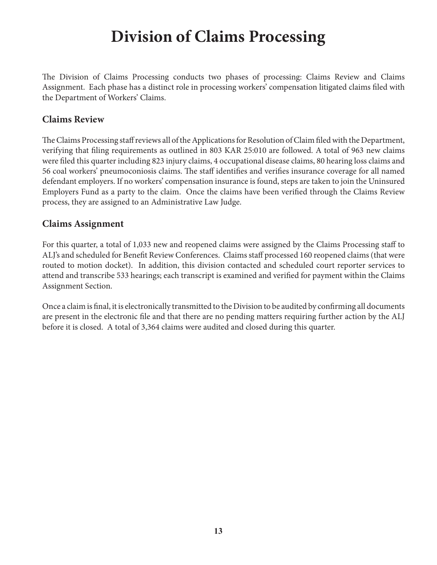# **Division of Claims Processing**

The Division of Claims Processing conducts two phases of processing: Claims Review and Claims Assignment. Each phase has a distinct role in processing workers' compensation litigated claims filed with the Department of Workers' Claims.

### **Claims Review**

The Claims Processing staff reviews all of the Applications for Resolution of Claim filed with the Department, verifying that filing requirements as outlined in 803 KAR 25:010 are followed. A total of 963 new claims were filed this quarter including 823 injury claims, 4 occupational disease claims, 80 hearing loss claims and 56 coal workers' pneumoconiosis claims. The staff identifies and verifies insurance coverage for all named defendant employers. If no workers' compensation insurance is found, steps are taken to join the Uninsured Employers Fund as a party to the claim. Once the claims have been verified through the Claims Review process, they are assigned to an Administrative Law Judge.

### **Claims Assignment**

For this quarter, a total of 1,033 new and reopened claims were assigned by the Claims Processing staff to ALJ's and scheduled for Benefit Review Conferences. Claims staff processed 160 reopened claims (that were routed to motion docket). In addition, this division contacted and scheduled court reporter services to attend and transcribe 533 hearings; each transcript is examined and verified for payment within the Claims Assignment Section.

Once a claim is final, it is electronically transmitted to the Division to be audited by confirming all documents are present in the electronic file and that there are no pending matters requiring further action by the ALJ before it is closed. A total of 3,364 claims were audited and closed during this quarter.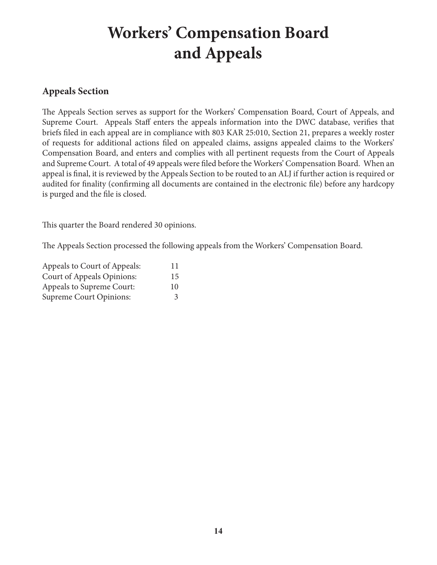# **Workers' Compensation Board and Appeals**

## **Appeals Section**

The Appeals Section serves as support for the Workers' Compensation Board, Court of Appeals, and Supreme Court. Appeals Staff enters the appeals information into the DWC database, verifies that briefs filed in each appeal are in compliance with 803 KAR 25:010, Section 21, prepares a weekly roster of requests for additional actions filed on appealed claims, assigns appealed claims to the Workers' Compensation Board, and enters and complies with all pertinent requests from the Court of Appeals and Supreme Court. A total of 49 appeals were filed before the Workers' Compensation Board. When an appeal is final, it is reviewed by the Appeals Section to be routed to an ALJ if further action is required or audited for finality (confirming all documents are contained in the electronic file) before any hardcopy is purged and the file is closed.

This quarter the Board rendered 30 opinions.

The Appeals Section processed the following appeals from the Workers' Compensation Board.

| Appeals to Court of Appeals: | 11 |
|------------------------------|----|
| Court of Appeals Opinions:   | 15 |
| Appeals to Supreme Court:    | 10 |
| Supreme Court Opinions:      | 3  |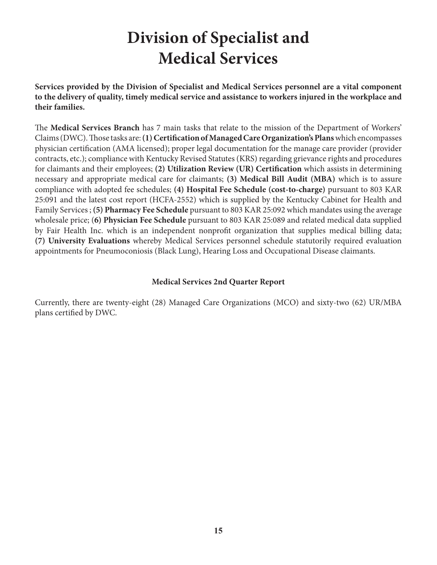# **Division of Specialist and Medical Services**

**Services provided by the Division of Specialist and Medical Services personnel are a vital component to the delivery of quality, timely medical service and assistance to workers injured in the workplace and their families.**

The **Medical Services Branch** has 7 main tasks that relate to the mission of the Department of Workers' Claims (DWC). Those tasks are: **(1) Certification of Managed Care Organization's Plans** which encompasses physician certification (AMA licensed); proper legal documentation for the manage care provider (provider contracts, etc.); compliance with Kentucky Revised Statutes (KRS) regarding grievance rights and procedures for claimants and their employees; **(2) Utilization Review (UR) Certification** which assists in determining necessary and appropriate medical care for claimants; **(3) Medical Bill Audit (MBA)** which is to assure compliance with adopted fee schedules; **(4) Hospital Fee Schedule (cost-to-charge)** pursuant to 803 KAR 25:091 and the latest cost report (HCFA-2552) which is supplied by the Kentucky Cabinet for Health and Family Services ; **(5) Pharmacy Fee Schedule** pursuant to 803 KAR 25:092 which mandates using the average wholesale price; (**6) Physician Fee Schedule** pursuant to 803 KAR 25:089 and related medical data supplied by Fair Health Inc. which is an independent nonprofit organization that supplies medical billing data; **(7) University Evaluations** whereby Medical Services personnel schedule statutorily required evaluation appointments for Pneumoconiosis (Black Lung), Hearing Loss and Occupational Disease claimants.

### **Medical Services 2nd Quarter Report**

Currently, there are twenty-eight (28) Managed Care Organizations (MCO) and sixty-two (62) UR/MBA plans certified by DWC.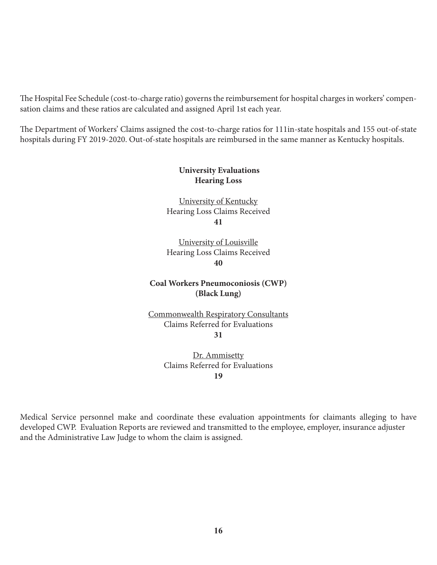The Hospital Fee Schedule (cost-to-charge ratio) governs the reimbursement for hospital charges in workers' compensation claims and these ratios are calculated and assigned April 1st each year.

The Department of Workers' Claims assigned the cost-to-charge ratios for 111in-state hospitals and 155 out-of-state hospitals during FY 2019-2020. Out-of-state hospitals are reimbursed in the same manner as Kentucky hospitals.

### **University Evaluations Hearing Loss**

University of Kentucky Hearing Loss Claims Received **41**

University of Louisville Hearing Loss Claims Received **40**

**Coal Workers Pneumoconiosis (CWP) (Black Lung)**

Commonwealth Respiratory Consultants Claims Referred for Evaluations **31**

> Dr. Ammisetty Claims Referred for Evaluations **19**

Medical Service personnel make and coordinate these evaluation appointments for claimants alleging to have developed CWP. Evaluation Reports are reviewed and transmitted to the employee, employer, insurance adjuster and the Administrative Law Judge to whom the claim is assigned.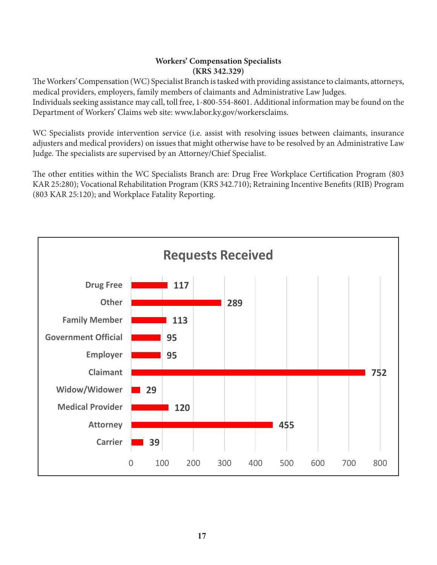#### **Workers' Compensation Specialists (KRS 342.329)**

The Workers' Compensation (WC) Specialist Branch is tasked with providing assistance to claimants, attorneys, medical providers, employers, family members of claimants and Administrative Law Judges. Individuals seeking assistance may call, toll free, 1-800-554-8601. Additional information may be found on the Department of Workers' Claims web site: www.labor.ky.gov/workersclaims.

WC Specialists provide intervention service (i.e. assist with resolving issues between claimants, insurance adjusters and medical providers) on issues that might otherwise have to be resolved by an Administrative Law Judge. The specialists are supervised by an Attorney/Chief Specialist.

The other entities within the WC Specialists Branch are: Drug Free Workplace Certification Program (803 KAR 25:280); Vocational Rehabilitation Program (KRS 342.710); Retraining Incentive Benefits (RIB) Program (803 KAR 25:120); and Workplace Fatality Reporting.

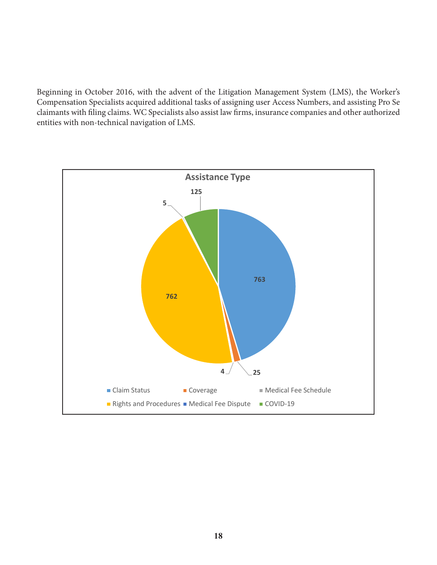Beginning in October 2016, with the advent of the Litigation Management System (LMS), the Worker's Compensation Specialists acquired additional tasks of assigning user Access Numbers, and assisting Pro Se claimants with filing claims. WC Specialists also assist law firms, insurance companies and other authorized entities with non-technical navigation of LMS.

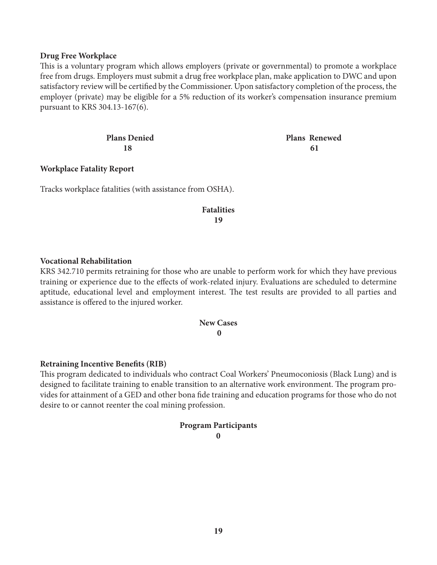#### **Drug Free Workplace**

This is a voluntary program which allows employers (private or governmental) to promote a workplace free from drugs. Employers must submit a drug free workplace plan, make application to DWC and upon satisfactory review will be certified by the Commissioner. Upon satisfactory completion of the process, the employer (private) may be eligible for a 5% reduction of its worker's compensation insurance premium pursuant to KRS 304.13-167(6).

| <b>Plans Denied</b> | <b>Plans Renewed</b> |
|---------------------|----------------------|
| 18                  | 61                   |

#### **Workplace Fatality Report**

Tracks workplace fatalities (with assistance from OSHA).

 **Fatalities 19**

#### **Vocational Rehabilitation**

KRS 342.710 permits retraining for those who are unable to perform work for which they have previous training or experience due to the effects of work-related injury. Evaluations are scheduled to determine aptitude, educational level and employment interest. The test results are provided to all parties and assistance is offered to the injured worker.

#### **New Cases 0**

#### **Retraining Incentive Benefits (RIB)**

This program dedicated to individuals who contract Coal Workers' Pneumoconiosis (Black Lung) and is designed to facilitate training to enable transition to an alternative work environment. The program provides for attainment of a GED and other bona fide training and education programs for those who do not desire to or cannot reenter the coal mining profession.

#### **Program Participants 0**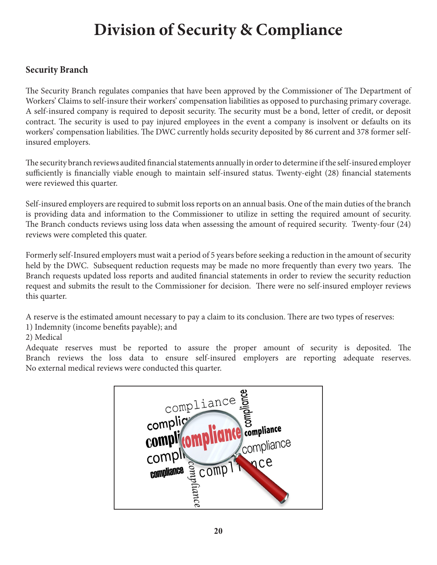# **Division of Security & Compliance**

### **Security Branch**

The Security Branch regulates companies that have been approved by the Commissioner of The Department of Workers' Claims to self-insure their workers' compensation liabilities as opposed to purchasing primary coverage. A self-insured company is required to deposit security. The security must be a bond, letter of credit, or deposit contract. The security is used to pay injured employees in the event a company is insolvent or defaults on its workers' compensation liabilities. The DWC currently holds security deposited by 86 current and 378 former selfinsured employers.

The security branch reviews audited financial statements annually in order to determine if the self-insured employer sufficiently is financially viable enough to maintain self-insured status. Twenty-eight (28) financial statements were reviewed this quarter.

Self-insured employers are required to submit loss reports on an annual basis. One of the main duties of the branch is providing data and information to the Commissioner to utilize in setting the required amount of security. The Branch conducts reviews using loss data when assessing the amount of required security. Twenty-four (24) reviews were completed this quater.

Formerly self-Insured employers must wait a period of 5 years before seeking a reduction in the amount of security held by the DWC. Subsequent reduction requests may be made no more frequently than every two years. The Branch requests updated loss reports and audited financial statements in order to review the security reduction request and submits the result to the Commissioner for decision. There were no self-insured employer reviews this quarter.

A reserve is the estimated amount necessary to pay a claim to its conclusion. There are two types of reserves:

1) Indemnity (income benefits payable); and

### 2) Medical

Adequate reserves must be reported to assure the proper amount of security is deposited. The Branch reviews the loss data to ensure self-insured employers are reporting adequate reserves. No external medical reviews were conducted this quarter.

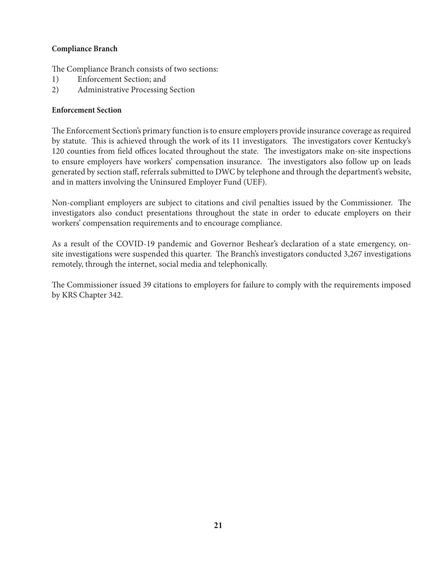### **Compliance Branch**

The Compliance Branch consists of two sections:

- 1) Enforcement Section; and
- 2) Administrative Processing Section

### **Enforcement Section**

The Enforcement Section's primary function is to ensure employers provide insurance coverage as required by statute. This is achieved through the work of its 11 investigators. The investigators cover Kentucky's 120 counties from field offices located throughout the state. The investigators make on-site inspections to ensure employers have workers' compensation insurance. The investigators also follow up on leads generated by section staff, referrals submitted to DWC by telephone and through the department's website, and in matters involving the Uninsured Employer Fund (UEF).

Non-compliant employers are subject to citations and civil penalties issued by the Commissioner. The investigators also conduct presentations throughout the state in order to educate employers on their workers' compensation requirements and to encourage compliance.

As a result of the COVID-19 pandemic and Governor Beshear's declaration of a state emergency, onsite investigations were suspended this quarter. The Branch's investigators conducted 3,267 investigations remotely, through the internet, social media and telephonically.

The Commissioner issued 39 citations to employers for failure to comply with the requirements imposed by KRS Chapter 342.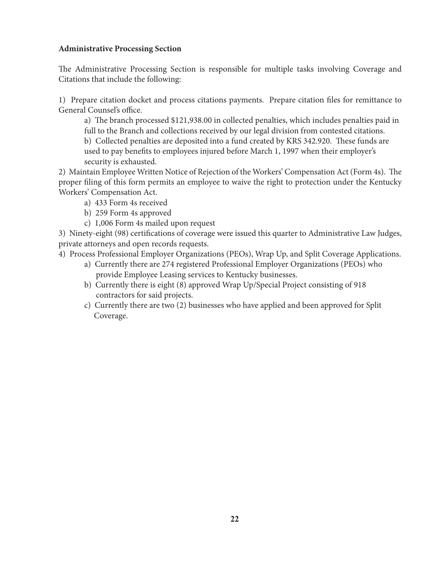#### **Administrative Processing Section**

The Administrative Processing Section is responsible for multiple tasks involving Coverage and Citations that include the following:

1) Prepare citation docket and process citations payments. Prepare citation files for remittance to General Counsel's office.

a) The branch processed \$121,938.00 in collected penalties, which includes penalties paid in full to the Branch and collections received by our legal division from contested citations.

b) Collected penalties are deposited into a fund created by KRS 342.920. These funds are used to pay benefits to employees injured before March 1, 1997 when their employer's security is exhausted.

2) Maintain Employee Written Notice of Rejection of the Workers' Compensation Act (Form 4s). The proper filing of this form permits an employee to waive the right to protection under the Kentucky Workers' Compensation Act.

- a) 433 Form 4s received
- b) 259 Form 4s approved
- c) 1,006 Form 4s mailed upon request

3) Ninety-eight (98) certifications of coverage were issued this quarter to Administrative Law Judges, private attorneys and open records requests.

- 4) Process Professional Employer Organizations (PEOs), Wrap Up, and Split Coverage Applications.
	- a) Currently there are 274 registered Professional Employer Organizations (PEOs) who provide Employee Leasing services to Kentucky businesses.
	- b) Currently there is eight (8) approved Wrap Up/Special Project consisting of 918 contractors for said projects.
	- c) Currently there are two (2) businesses who have applied and been approved for Split Coverage.